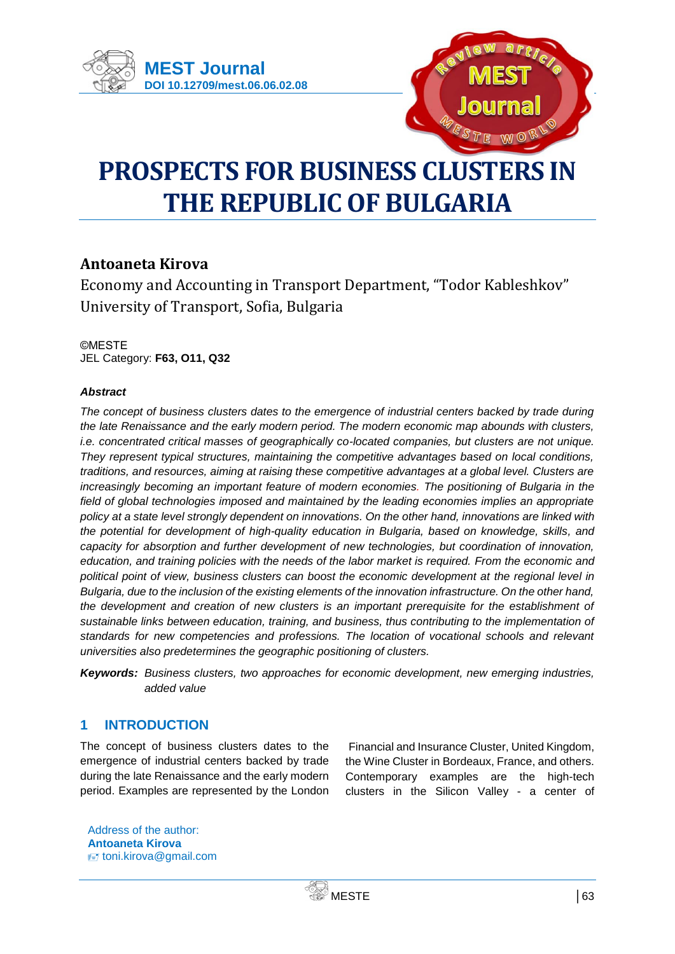



# **PROSPECTS FOR BUSINESS CLUSTERS IN THE REPUBLIC OF BULGARIA**

# **Antoaneta Kirova**

Economy and Accounting in Transport Department, "Todor Kableshkov" University of Transport, Sofia, Bulgaria

©MESTE JEL Category: **F63, O11, Q32**

## *Abstract*

*The concept of business clusters dates to the emergence of industrial centers backed by trade during the late Renaissance and the early modern period. The modern economic map abounds with clusters, i.e. concentrated critical masses of geographically co-located companies, but clusters are not unique. They represent typical structures, maintaining the competitive advantages based on local conditions, traditions, and resources, aiming at raising these competitive advantages at a global level. Clusters are increasingly becoming an important feature of modern economies. The positioning of Bulgaria in the*  field of global technologies imposed and maintained by the leading economies implies an appropriate *policy at a state level strongly dependent on innovations. On the other hand, innovations are linked with the potential for development of high-quality education in Bulgaria, based on knowledge, skills, and capacity for absorption and further development of new technologies, but coordination of innovation, education, and training policies with the needs of the labor market is required. From the economic and political point of view, business clusters can boost the economic development at the regional level in Bulgaria, due to the inclusion of the existing elements of the innovation infrastructure. On the other hand, the development and creation of new clusters is an important prerequisite for the establishment of sustainable links between education, training, and business, thus contributing to the implementation of standards for new competencies and professions. The location of vocational schools and relevant universities also predetermines the geographic positioning of clusters.*

*Keywords: Business clusters, two approaches for economic development, new emerging industries, added value*

# **1 INTRODUCTION**

The concept of business clusters dates to the emergence of industrial centers backed by trade during the late Renaissance and the early modern period. Examples are represented by the London

Financial and Insurance Cluster, United Kingdom, the Wine Cluster in Bordeaux, France, and others. Contemporary examples are the high-tech clusters in the Silicon Valley - a center of

Address of the author: **Antoaneta Kirova** ₹₹ toni.kirova@gmail.com

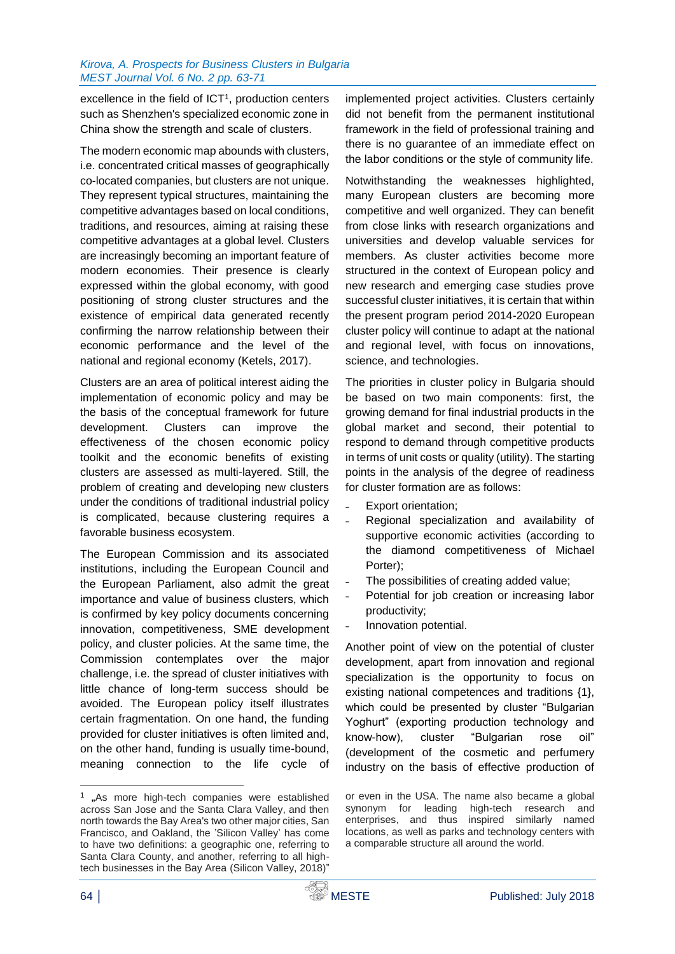#### *Kirova, A. Prospects for Business Clusters in Bulgaria MEST Journal Vol. 6 No. 2 pp. 63-71*

excellence in the field of  $ICT<sup>1</sup>$ , production centers such as Shenzhen's specialized economic zone in China show the strength and scale of clusters.

The modern economic map abounds with clusters, i.e. concentrated critical masses of geographically co-located companies, but clusters are not unique. They represent typical structures, maintaining the competitive advantages based on local conditions, traditions, and resources, aiming at raising these competitive advantages at a global level. Clusters are increasingly becoming an important feature of modern economies. Their presence is clearly expressed within the global economy, with good positioning of strong cluster structures and the existence of empirical data generated recently confirming the narrow relationship between their economic performance and the level of the national and regional economy (Ketels, 2017).

Clusters are an area of political interest aiding the implementation of economic policy and may be the basis of the conceptual framework for future development. Clusters can improve the effectiveness of the chosen economic policy toolkit and the economic benefits of existing clusters are assessed as multi-layered. Still, the problem of creating and developing new clusters under the conditions of traditional industrial policy is complicated, because clustering requires a favorable business ecosystem.

The European Commission and its associated institutions, including the European Council and the European Parliament, also admit the great importance and value of business clusters, which is confirmed by key policy documents concerning innovation, competitiveness, SME development policy, and cluster policies. At the same time, the Commission contemplates over the major challenge, i.e. the spread of cluster initiatives with little chance of long-term success should be avoided. The European policy itself illustrates certain fragmentation. On one hand, the funding provided for cluster initiatives is often limited and, on the other hand, funding is usually time-bound, meaning connection to the life cycle of

implemented project activities. Clusters certainly did not benefit from the permanent institutional framework in the field of professional training and there is no guarantee of an immediate effect on the labor conditions or the style of community life.

Notwithstanding the weaknesses highlighted, many European clusters are becoming more competitive and well organized. They can benefit from close links with research organizations and universities and develop valuable services for members. As cluster activities become more structured in the context of European policy and new research and emerging case studies prove successful cluster initiatives, it is certain that within the present program period 2014-2020 European cluster policy will continue to adapt at the national and regional level, with focus on innovations, science, and technologies.

The priorities in cluster policy in Bulgaria should be based on two main components: first, the growing demand for final industrial products in the global market and second, their potential to respond to demand through competitive products in terms of unit costs or quality (utility). The starting points in the analysis of the degree of readiness for cluster formation are as follows:

- Export orientation:
- ˗ Regional specialization and availability of supportive economic activities (according to the diamond competitiveness of Michael Porter);
- The possibilities of creating added value;
- Potential for job creation or increasing labor productivity;
- ˗ Innovation potential.

Another point of view on the potential of cluster development, apart from innovation and regional specialization is the opportunity to focus on existing national competences and traditions {1}, which could be presented by cluster "Bulgarian Yoghurt" (exporting production technology and know-how), cluster "Bulgarian rose oil" (development of the cosmetic and perfumery industry on the basis of effective production of

or even in the USA. The name also became a global synonym for leading high-tech research and enterprises, and thus inspired similarly named locations, as well as parks and technology centers with a comparable structure all around the world.

-



<sup>&</sup>lt;sup>1</sup> "As more high-tech companies were established across San Jose and the Santa Clara Valley, and then north towards the Bay Area's two other major cities, San Francisco, and Oakland, the 'Silicon Valley' has come to have two definitions: a geographic one, referring to Santa Clara County, and another, referring to all hightech businesses in the Bay Area (Silicon Valley, 2018)"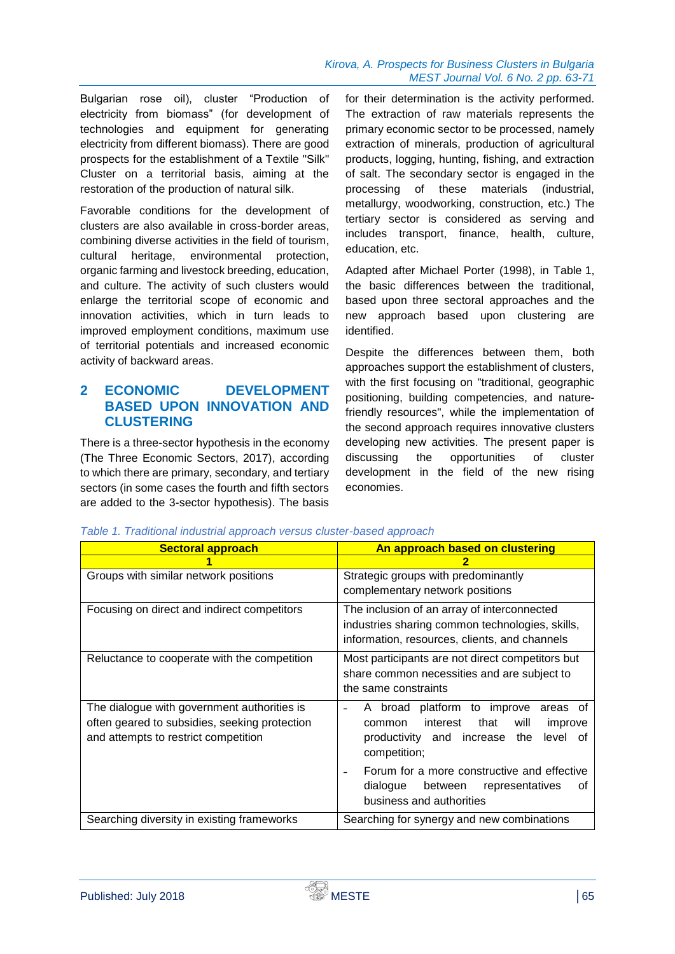Bulgarian rose oil), cluster "Production of electricity from biomass" (for development of technologies and equipment for generating electricity from different biomass). There are good prospects for the establishment of a Textile "Silk" Cluster on a territorial basis, aiming at the restoration of the production of natural silk.

Favorable conditions for the development of clusters are also available in cross-border areas, combining diverse activities in the field of tourism, cultural heritage, environmental protection, organic farming and livestock breeding, education, and culture. The activity of such clusters would enlarge the territorial scope of economic and innovation activities, which in turn leads to improved employment conditions, maximum use of territorial potentials and increased economic activity of backward areas.

# **2 ECONOMIC DEVELOPMENT BASED UPON INNOVATION AND CLUSTERING**

There is a three-sector hypothesis in the economy (The Three Economic Sectors, 2017), according to which there are primary, secondary, and tertiary sectors (in some cases the fourth and fifth sectors are added to the 3-sector hypothesis). The basis

for their determination is the activity performed. The extraction of raw materials represents the primary economic sector to be processed, namely extraction of minerals, production of agricultural products, logging, hunting, fishing, and extraction of salt. The secondary sector is engaged in the processing of these materials (industrial, metallurgy, woodworking, construction, etc.) The tertiary sector is considered as serving and includes transport, finance, health, culture, education, etc.

Adapted after Michael Porter (1998), in Table 1, the basic differences between the traditional, based upon three sectoral approaches and the new approach based upon clustering are identified.

Despite the differences between them, both approaches support the establishment of clusters, with the first focusing on "traditional, geographic positioning, building competencies, and naturefriendly resources", while the implementation of the second approach requires innovative clusters developing new activities. The present paper is discussing the opportunities of cluster development in the field of the new rising economies.

| <b>Sectoral approach</b>                                                                                                             | An approach based on clustering                                                                                                                                                                      |  |  |  |  |
|--------------------------------------------------------------------------------------------------------------------------------------|------------------------------------------------------------------------------------------------------------------------------------------------------------------------------------------------------|--|--|--|--|
|                                                                                                                                      | 2                                                                                                                                                                                                    |  |  |  |  |
| Groups with similar network positions                                                                                                | Strategic groups with predominantly<br>complementary network positions                                                                                                                               |  |  |  |  |
| Focusing on direct and indirect competitors                                                                                          | The inclusion of an array of interconnected<br>industries sharing common technologies, skills,<br>information, resources, clients, and channels                                                      |  |  |  |  |
| Reluctance to cooperate with the competition                                                                                         | Most participants are not direct competitors but<br>share common necessities and are subject to<br>the same constraints                                                                              |  |  |  |  |
| The dialogue with government authorities is<br>often geared to subsidies, seeking protection<br>and attempts to restrict competition | A broad platform to improve<br>areas of<br>that<br>interest<br>will<br>improve<br>common<br>productivity and increase the<br>level of<br>competition;<br>Forum for a more constructive and effective |  |  |  |  |
|                                                                                                                                      | dialogue between representatives<br>οf<br>business and authorities                                                                                                                                   |  |  |  |  |
| Searching diversity in existing frameworks                                                                                           | Searching for synergy and new combinations                                                                                                                                                           |  |  |  |  |

*Table 1. Traditional industrial approach versus cluster-based approach*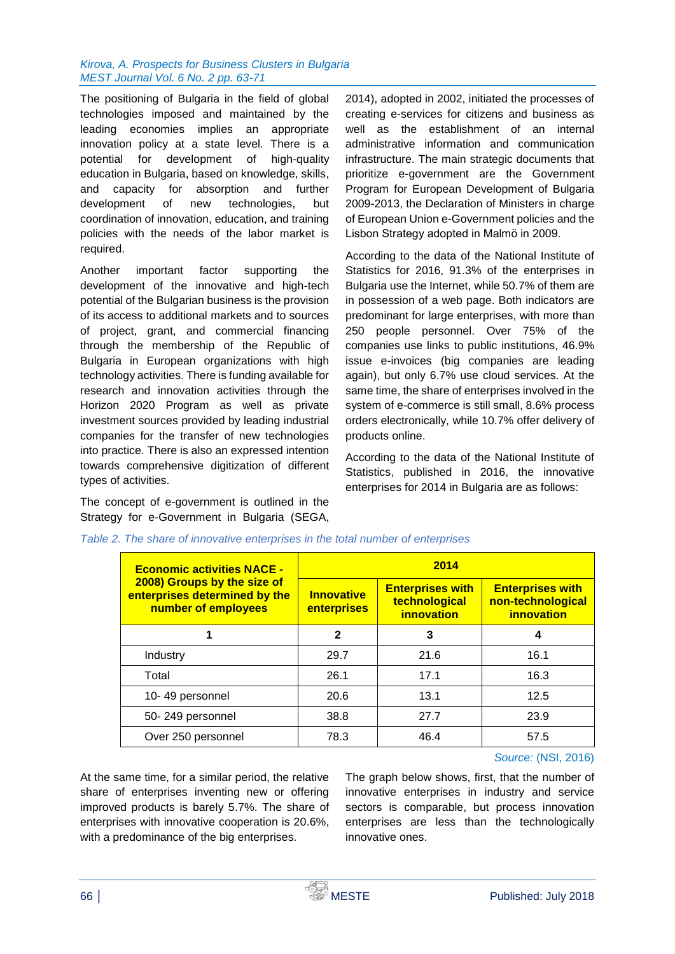#### *Kirova, A. Prospects for Business Clusters in Bulgaria MEST Journal Vol. 6 No. 2 pp. 63-71*

The positioning of Bulgaria in the field of global technologies imposed and maintained by the leading economies implies an appropriate innovation policy at a state level. There is a potential for development of high-quality education in Bulgaria, based on knowledge, skills, and capacity for absorption and further development of new technologies, but coordination of innovation, education, and training policies with the needs of the labor market is required.

Another important factor supporting the development of the innovative and high-tech potential of the Bulgarian business is the provision of its access to additional markets and to sources of project, grant, and commercial financing through the membership of the Republic of Bulgaria in European organizations with high technology activities. There is funding available for research and innovation activities through the Horizon 2020 Program as well as private investment sources provided by leading industrial companies for the transfer of new technologies into practice. There is also an expressed intention towards comprehensive digitization of different types of activities.

The concept of e-government is outlined in the Strategy for e-Government in Bulgaria (SEGA, 2014), adopted in 2002, initiated the processes of creating e-services for citizens and business as well as the establishment of an internal administrative information and communication infrastructure. The main strategic documents that prioritize e-government are the Government Program for European Development of Bulgaria 2009-2013, the Declaration of Ministers in charge of European Union e-Government policies and the Lisbon Strategy adopted in Malmö in 2009.

According to the data of the National Institute of Statistics for 2016, 91.3% of the enterprises in Bulgaria use the Internet, while 50.7% of them are in possession of a web page. Both indicators are predominant for large enterprises, with more than 250 people personnel. Over 75% of the companies use links to public institutions, 46.9% issue e-invoices (big companies are leading again), but only 6.7% use cloud services. At the same time, the share of enterprises involved in the system of e-commerce is still small, 8.6% process orders electronically, while 10.7% offer delivery of products online.

According to the data of the National Institute of Statistics, published in 2016, the innovative enterprises for 2014 in Bulgaria are as follows:

| <b>Economic activities NACE -</b>                                                   | 2014                             |                                                               |                                                            |  |  |  |
|-------------------------------------------------------------------------------------|----------------------------------|---------------------------------------------------------------|------------------------------------------------------------|--|--|--|
| 2008) Groups by the size of<br>enterprises determined by the<br>number of employees | <b>Innovative</b><br>enterprises | <b>Enterprises with</b><br>technological<br><b>innovation</b> | <b>Enterprises with</b><br>non-technological<br>innovation |  |  |  |
|                                                                                     | $\mathbf{2}$                     | 3                                                             | 4                                                          |  |  |  |
| Industry                                                                            | 29.7                             | 21.6                                                          | 16.1                                                       |  |  |  |
| Total                                                                               | 26.1                             | 17.1                                                          | 16.3                                                       |  |  |  |
| 10-49 personnel                                                                     | 20.6                             | 13.1                                                          | 12.5                                                       |  |  |  |
| 50-249 personnel                                                                    | 38.8                             | 27.7                                                          | 23.9                                                       |  |  |  |
| Over 250 personnel                                                                  | 78.3                             | 46.4                                                          | 57.5                                                       |  |  |  |

|  |  |  |  |  | Table 2. The share of innovative enterprises in the total number of enterprises |
|--|--|--|--|--|---------------------------------------------------------------------------------|
|  |  |  |  |  |                                                                                 |

At the same time, for a similar period, the relative share of enterprises inventing new or offering improved products is barely 5.7%. The share of enterprises with innovative cooperation is 20.6%, with a predominance of the big enterprises.

*Source:* (NSI, 2016)

The graph below shows, first, that the number of innovative enterprises in industry and service sectors is comparable, but process innovation enterprises are less than the technologically innovative ones.

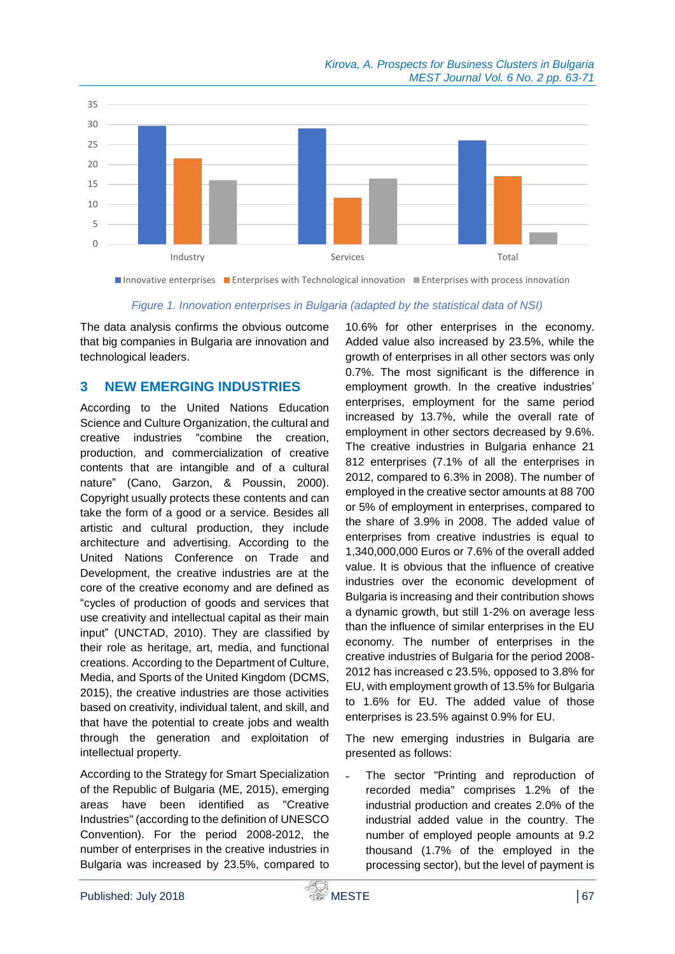

■ Innovative enterprises ■ Enterprises with Technological innovation ■ Enterprises with process innovation

#### *Figure 1. Innovation enterprises in Bulgaria (adapted by the statistical data of NSI)*

The data analysis confirms the obvious outcome that big companies in Bulgaria are innovation and technological leaders.

### **3 NEW EMERGING INDUSTRIES**

According to the United Nations Education Science and Culture Organization, the cultural and creative industries "combine the creation, production, and commercialization of creative contents that are intangible and of a cultural nature" (Cano, Garzon, & Poussin, 2000). Copyright usually protects these contents and can take the form of a good or a service. Besides all artistic and cultural production, they include architecture and advertising. According to the United Nations Conference on Trade and Development, the creative industries are at the core of the creative economy and are defined as "cycles of production of goods and services that use creativity and intellectual capital as their main input" (UNCTAD, 2010). They are classified by their role as heritage, art, media, and functional creations. According to the Department of Culture, Media, and Sports of the United Kingdom (DCMS, 2015), the creative industries are those activities based on creativity, individual talent, and skill, and that have the potential to create jobs and wealth through the generation and exploitation of intellectual property.

According to the Strategy for Smart Specialization of the Republic of Bulgaria (ME, 2015), emerging areas have been identified as "Creative Industries" (according to the definition of UNESCO Convention). For the period 2008-2012, the number of enterprises in the creative industries in Bulgaria was increased by 23.5%, compared to

10.6% for other enterprises in the economy. Added value also increased by 23.5%, while the growth of enterprises in all other sectors was only 0.7%. The most significant is the difference in employment growth. In the creative industries' enterprises, employment for the same period increased by 13.7%, while the overall rate of employment in other sectors decreased by 9.6%. The creative industries in Bulgaria enhance 21 812 enterprises (7.1% of all the enterprises in 2012, compared to 6.3% in 2008). The number of employed in the creative sector amounts at 88 700 or 5% of employment in enterprises, compared to the share of 3.9% in 2008. The added value of enterprises from creative industries is equal to 1,340,000,000 Euros or 7.6% of the overall added value. It is obvious that the influence of creative industries over the economic development of Bulgaria is increasing and their contribution shows a dynamic growth, but still 1-2% on average less than the influence of similar enterprises in the EU economy. The number of enterprises in the creative industries of Bulgaria for the period 2008- 2012 has increased с 23.5%, opposed to 3.8% for EU, with employment growth of 13.5% for Bulgaria to 1.6% for EU. The added value of those enterprises is 23.5% against 0.9% for EU.

The new emerging industries in Bulgaria are presented as follows:

˗ The sector "Printing and reproduction of recorded media" comprises 1.2% of the industrial production and creates 2.0% of the industrial added value in the country. The number of employed people amounts at 9.2 thousand (1.7% of the employed in the processing sector), but the level of payment is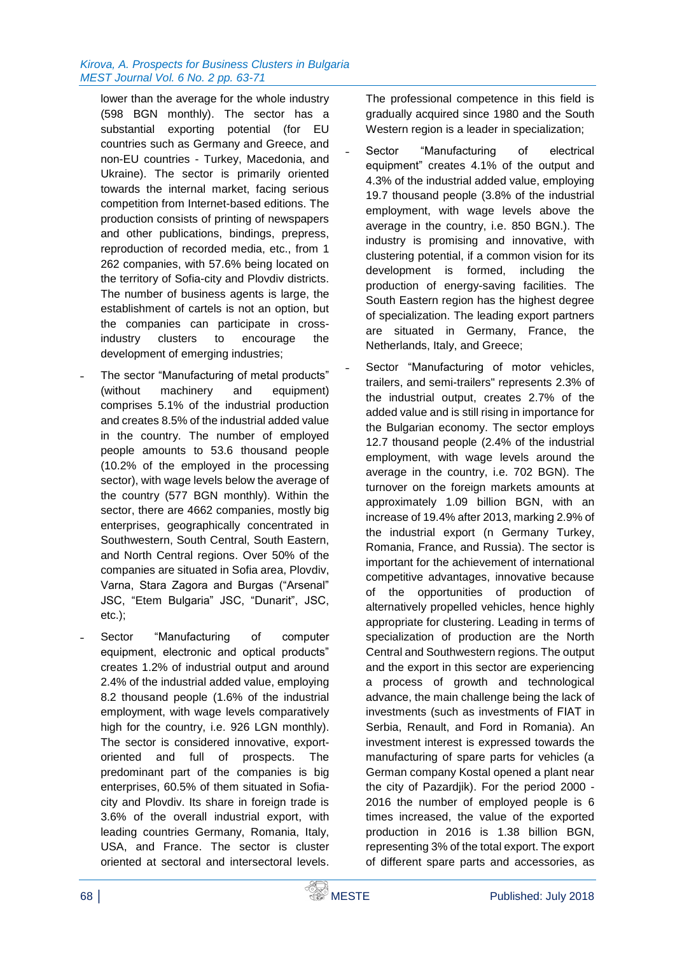#### *Kirova, A. Prospects for Business Clusters in Bulgaria MEST Journal Vol. 6 No. 2 pp. 63-71*

lower than the average for the whole industry (598 BGN monthly). The sector has a substantial exporting potential (for EU countries such as Germany and Greece, and non-EU countries - Turkey, Macedonia, and Ukraine). The sector is primarily oriented towards the internal market, facing serious competition from Internet-based editions. The production consists of printing of newspapers and other publications, bindings, prepress, reproduction of recorded media, etc., from 1 262 companies, with 57.6% being located on the territory of Sofia-city and Plovdiv districts. The number of business agents is large, the establishment of cartels is not an option, but the companies can participate in crossindustry clusters to encourage the development of emerging industries;

- ˗ The sector "Manufacturing of metal products" (without machinery and equipment) comprises 5.1% of the industrial production and creates 8.5% of the industrial added value in the country. The number of employed people amounts to 53.6 thousand people (10.2% of the employed in the processing sector), with wage levels below the average of the country (577 BGN monthly). Within the sector, there are 4662 companies, mostly big enterprises, geographically concentrated in Southwestern, South Central, South Eastern, and North Central regions. Over 50% of the companies are situated in Sofia area, Plovdiv, Varna, Stara Zagora and Burgas ("Arsenal" JSC, "Etem Bulgaria" JSC, "Dunarit", JSC, etc.);
- Sector "Manufacturing of computer equipment, electronic and optical products" creates 1.2% of industrial output and around 2.4% of the industrial added value, employing 8.2 thousand people (1.6% of the industrial employment, with wage levels comparatively high for the country, i.e. 926 LGN monthly). The sector is considered innovative, exportoriented and full of prospects. The predominant part of the companies is big enterprises, 60.5% of them situated in Sofiacity and Plovdiv. Its share in foreign trade is 3.6% of the overall industrial export, with leading countries Germany, Romania, Italy, USA, and France. The sector is cluster oriented at sectoral and intersectoral levels.

The professional competence in this field is gradually acquired since 1980 and the South Western region is a leader in specialization;

- Sector "Manufacturing of electrical equipment" creates 4.1% of the output and 4.3% of the industrial added value, employing 19.7 thousand people (3.8% of the industrial employment, with wage levels above the average in the country, i.e. 850 BGN.). The industry is promising and innovative, with clustering potential, if a common vision for its development is formed, including the production of energy-saving facilities. The South Eastern region has the highest degree of specialization. The leading export partners are situated in Germany, France, the Netherlands, Italy, and Greece;
- Sector "Manufacturing of motor vehicles, trailers, and semi-trailers" represents 2.3% of the industrial output, creates 2.7% of the added value and is still rising in importance for the Bulgarian economy. The sector employs 12.7 thousand people (2.4% of the industrial employment, with wage levels around the average in the country, i.e. 702 BGN). The turnover on the foreign markets amounts at approximately 1.09 billion BGN, with an increase of 19.4% after 2013, marking 2.9% of the industrial export (n Germany Turkey, Romania, France, and Russia). The sector is important for the achievement of international competitive advantages, innovative because of the opportunities of production of alternatively propelled vehicles, hence highly appropriate for clustering. Leading in terms of specialization of production are the North Central and Southwestern regions. The output and the export in this sector are experiencing a process of growth and technological advance, the main challenge being the lack of investments (such as investments of FІАТ in Serbia, Renault, and Ford in Romania). An investment interest is expressed towards the manufacturing of spare parts for vehicles (a German company Kostal opened a plant near the city of Pazardjik). For the period 2000 - 2016 the number of employed people is 6 times increased, the value of the exported production in 2016 is 1.38 billion BGN, representing 3% of the total export. The export of different spare parts and accessories, as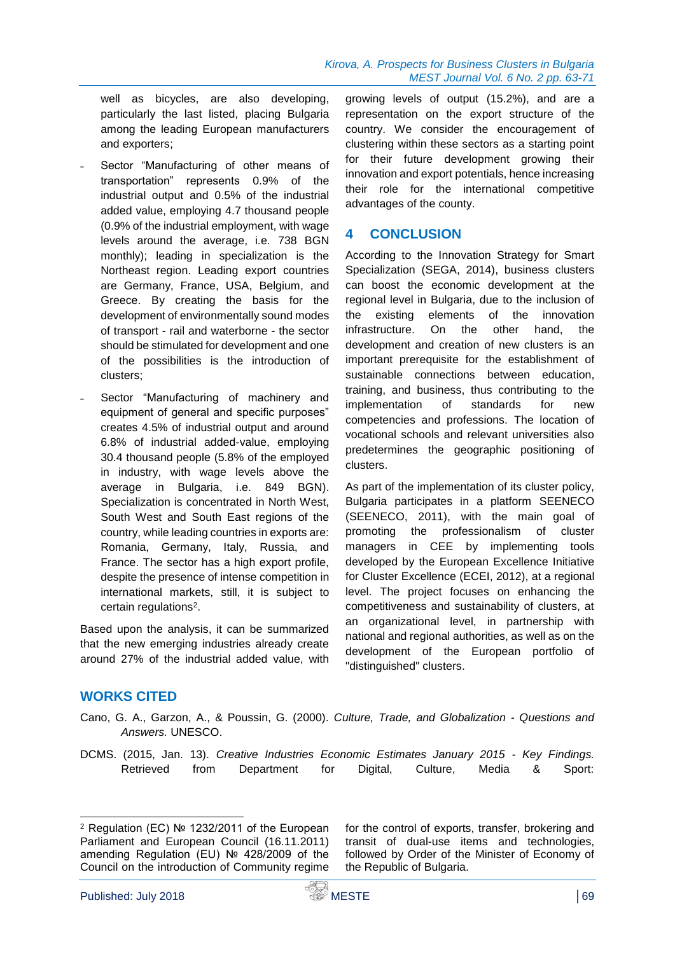well as bicycles, are also developing, particularly the last listed, placing Bulgaria among the leading European manufacturers and exporters;

- Sector "Manufacturing of other means of transportation" represents 0.9% of the industrial output and 0.5% of the industrial added value, employing 4.7 thousand people (0.9% of the industrial employment, with wage levels around the average, i.e. 738 BGN monthly); leading in specialization is the Northeast region. Leading export countries are Germany, France, USA, Belgium, and Greece. By creating the basis for the development of environmentally sound modes of transport - rail and waterborne - the sector should be stimulated for development and one of the possibilities is the introduction of clusters;
- Sector "Manufacturing of machinery and equipment of general and specific purposes" creates 4.5% of industrial output and around 6.8% of industrial added-value, employing 30.4 thousand people (5.8% of the employed in industry, with wage levels above the average in Bulgaria, i.e. 849 BGN). Specialization is concentrated in North West, South West and South East regions of the country, while leading countries in exports are: Romania, Germany, Italy, Russia, and France. The sector has a high export profile, despite the presence of intense competition in international markets, still, it is subject to certain regulations<sup>2</sup>.

Based upon the analysis, it can be summarized that the new emerging industries already create around 27% of the industrial added value, with

growing levels of output (15.2%), and are a representation on the export structure of the country. We consider the encouragement of clustering within these sectors as a starting point for their future development growing their innovation and export potentials, hence increasing their role for the international competitive advantages of the county.

## **4 CONCLUSION**

According to the Innovation Strategy for Smart Specialization (SEGA, 2014), business clusters can boost the economic development at the regional level in Bulgaria, due to the inclusion of the existing elements of the innovation infrastructure. On the other hand, the development and creation of new clusters is an important prerequisite for the establishment of sustainable connections between education, training, and business, thus contributing to the implementation of standards for new competencies and professions. The location of vocational schools and relevant universities also predetermines the geographic positioning of clusters.

As part of the implementation of its cluster policy, Bulgaria participates in a platform SEENECO (SEENECO, 2011), with the main goal of promoting the professionalism of cluster managers in CEE by implementing tools developed by the European Excellence Initiative for Cluster Excellence (ECEI, 2012), at a regional level. The project focuses on enhancing the competitiveness and sustainability of clusters, at an organizational level, in partnership with national and regional authorities, as well as on the development of the European portfolio of "distinguished" clusters.

# **WORKS CITED**

- Cano, G. A., Garzon, A., & Poussin, G. (2000). *Culture, Trade, and Globalization - Questions and Answers.* UNESCO.
- DCMS. (2015, Jan. 13). *Creative Industries Economic Estimates January 2015 - Key Findings.* Retrieved from Department for Digital, Culture, Media & Sport:

for the control of exports, transfer, brokering and transit of dual-use items and technologies, followed by Order of the Minister of Economy of the Republic of Bulgaria.

<sup>-</sup><sup>2</sup> Regulation (ЕС) № 1232/2011 of the European Parliament and European Council (16.11.2011) amending Regulation (ЕU) № 428/2009 of the Council on the introduction of Community regime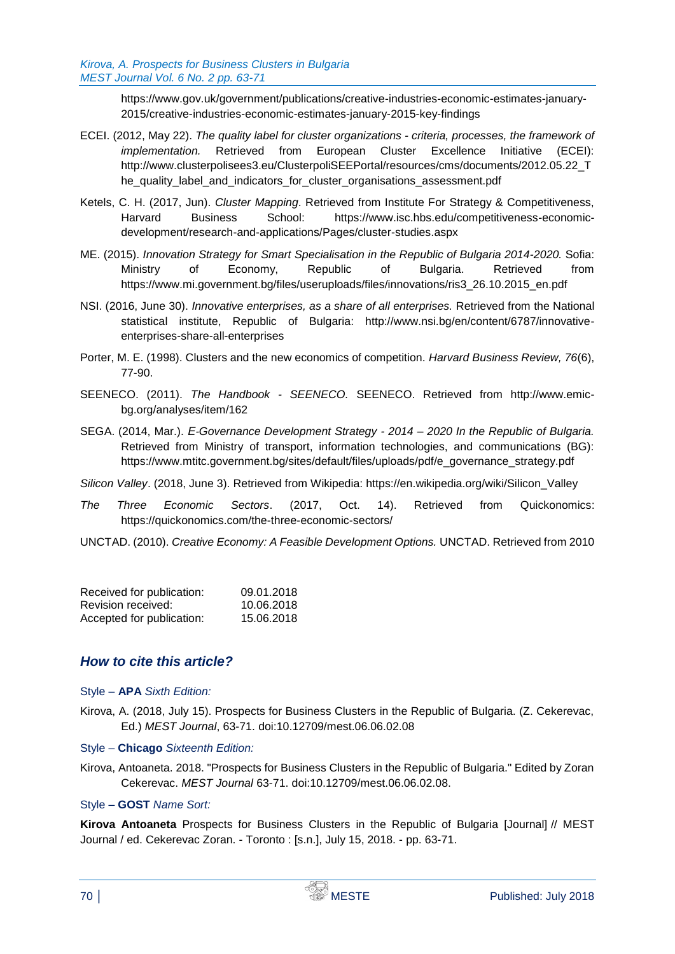https://www.gov.uk/government/publications/creative-industries-economic-estimates-january-2015/creative-industries-economic-estimates-january-2015-key-findings

- ECEI. (2012, May 22). *The quality label for cluster organizations - criteria, processes, the framework of implementation.* Retrieved from European Cluster Excellence Initiative (ECEI): http://www.clusterpolisees3.eu/ClusterpoliSEEPortal/resources/cms/documents/2012.05.22\_T he\_quality\_label\_and\_indicators\_for\_cluster\_organisations\_assessment.pdf
- Ketels, C. H. (2017, Jun). *Cluster Mapping*. Retrieved from Institute For Strategy & Competitiveness, Harvard Business School: https://www.isc.hbs.edu/competitiveness-economicdevelopment/research-and-applications/Pages/cluster-studies.aspx
- ME. (2015). *Innovation Strategy for Smart Specialisation in the Republic of Bulgaria 2014-2020.* Sofia: Ministry of Economy, Republic of Bulgaria. Retrieved from https://www.mi.government.bg/files/useruploads/files/innovations/ris3\_26.10.2015\_en.pdf
- NSI. (2016, June 30). *Innovative enterprises, as a share of all enterprises.* Retrieved from the National statistical institute, Republic of Bulgaria: http://www.nsi.bg/en/content/6787/innovativeenterprises-share-all-enterprises
- Porter, M. E. (1998). Clusters and the new economics of competition. *Harvard Business Review, 76*(6), 77-90.
- SEENECO. (2011). *The Handbook - SEENECO.* SEENECO. Retrieved from http://www.emicbg.org/analyses/item/162
- SEGA. (2014, Mar.). *Е*‐*Governance Development Strategy - 2014 – 2020 In the Republic of Bulgaria.* Retrieved from Ministry of transport, information technologies, and communications (BG): https://www.mtitc.government.bg/sites/default/files/uploads/pdf/e\_governance\_strategy.pdf

*Silicon Valley*. (2018, June 3). Retrieved from Wikipedia: https://en.wikipedia.org/wiki/Silicon\_Valley

- *The Three Economic Sectors*. (2017, Oct. 14). Retrieved from Quickonomics: https://quickonomics.com/the-three-economic-sectors/
- UNCTAD. (2010). *Creative Economy: A Feasible Development Options.* UNCTAD. Retrieved from 2010

| Received for publication: | 09.01.2018 |
|---------------------------|------------|
| Revision received:        | 10.06.2018 |
| Accepted for publication: | 15.06.2018 |

# *How to cite this article?*

#### Style – **APA** *Sixth Edition:*

- Kirova, A. (2018, July 15). Prospects for Business Clusters in the Republic of Bulgaria. (Z. Cekerevac, Ed.) *MEST Journal*, 63-71. doi:10.12709/mest.06.06.02.08
- Style **Chicago** *Sixteenth Edition:*
- Kirova, Antoaneta. 2018. "Prospects for Business Clusters in the Republic of Bulgaria." Edited by Zoran Cekerevac. *MEST Journal* 63-71. doi:10.12709/mest.06.06.02.08.

#### Style – **GOST** *Name Sort:*

**Kirova Antoaneta** Prospects for Business Clusters in the Republic of Bulgaria [Journal] // MEST Journal / ed. Cekerevac Zoran. - Toronto : [s.n.], July 15, 2018. - pp. 63-71.